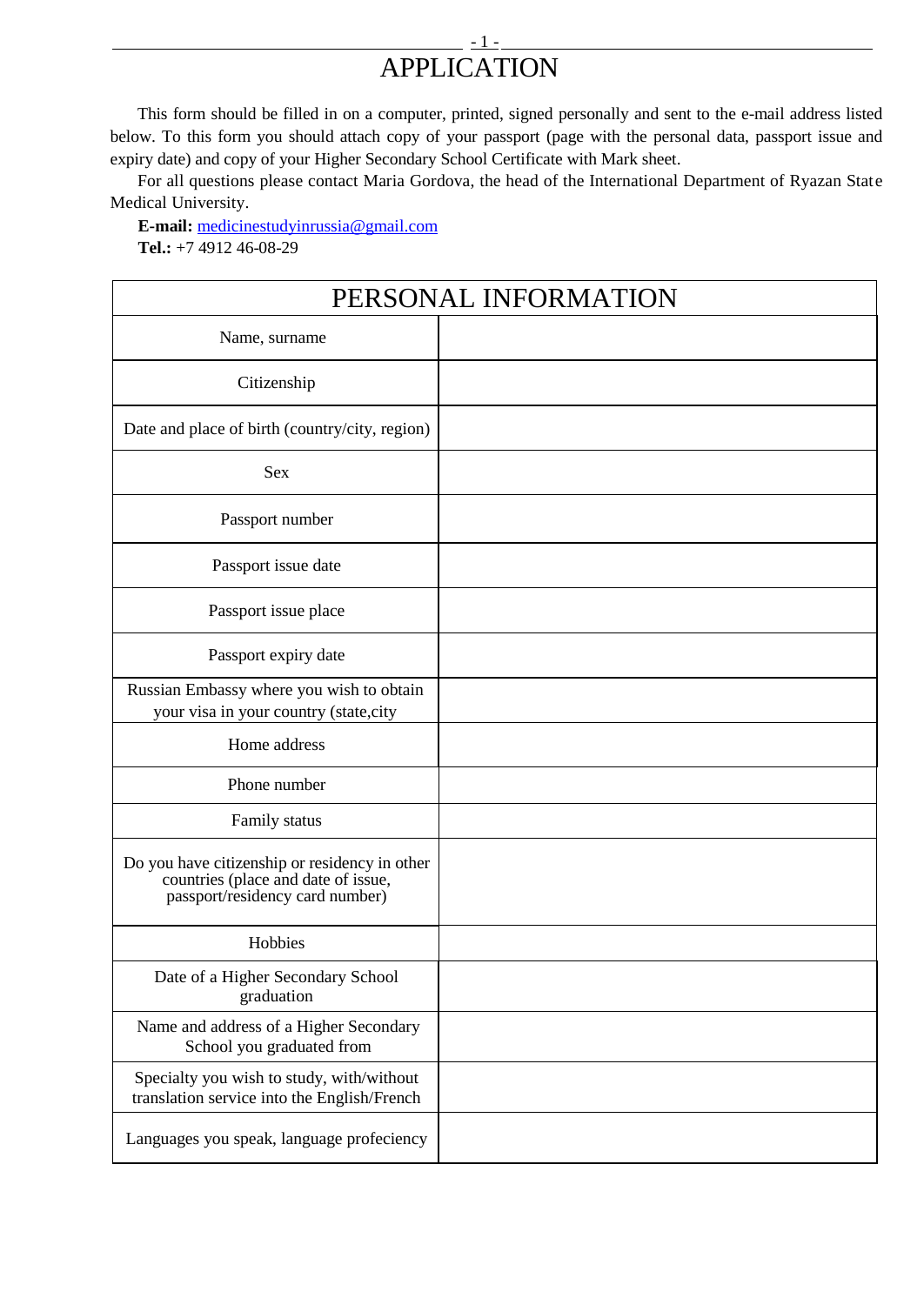## <u>- 1. Januar - 1. Januar - 1. Januar - 1. Januar - 1. Januar - 1. Januar - 1. Januar - 1. Januar - 1. Januar - </u> APPLICATION

This form should be filled in on a computer, printed, signed personally and sent to the e-mail address listed below. To this form you should attach copy of your passport (page with the personal data, passport issue and expiry date) and copy of your Higher Secondary School Certificate with Mark sheet.

For all questions please contact Maria Gordova, the head of the International Department of Ryazan State Medical University.

**E-mail:** [medicinestudyinrussia@gmail.com](mailto:medicinestudyinrussia@gmail.com) **Tel.:** +7 4912 46-08-29

| PERSONAL INFORMATION                                                                                                    |  |  |  |  |
|-------------------------------------------------------------------------------------------------------------------------|--|--|--|--|
| Name, surname                                                                                                           |  |  |  |  |
| Citizenship                                                                                                             |  |  |  |  |
| Date and place of birth (country/city, region)                                                                          |  |  |  |  |
| <b>Sex</b>                                                                                                              |  |  |  |  |
| Passport number                                                                                                         |  |  |  |  |
| Passport issue date                                                                                                     |  |  |  |  |
| Passport issue place                                                                                                    |  |  |  |  |
| Passport expiry date                                                                                                    |  |  |  |  |
| Russian Embassy where you wish to obtain<br>your visa in your country (state, city                                      |  |  |  |  |
| Home address                                                                                                            |  |  |  |  |
| Phone number                                                                                                            |  |  |  |  |
| Family status                                                                                                           |  |  |  |  |
| Do you have citizenship or residency in other<br>countries (place and date of issue,<br>passport/residency card number) |  |  |  |  |
| Hobbies                                                                                                                 |  |  |  |  |
| Date of a Higher Secondary School<br>graduation                                                                         |  |  |  |  |
| Name and address of a Higher Secondary<br>School you graduated from                                                     |  |  |  |  |
| Specialty you wish to study, with/without<br>translation service into the English/French                                |  |  |  |  |
| Languages you speak, language profeciency                                                                               |  |  |  |  |